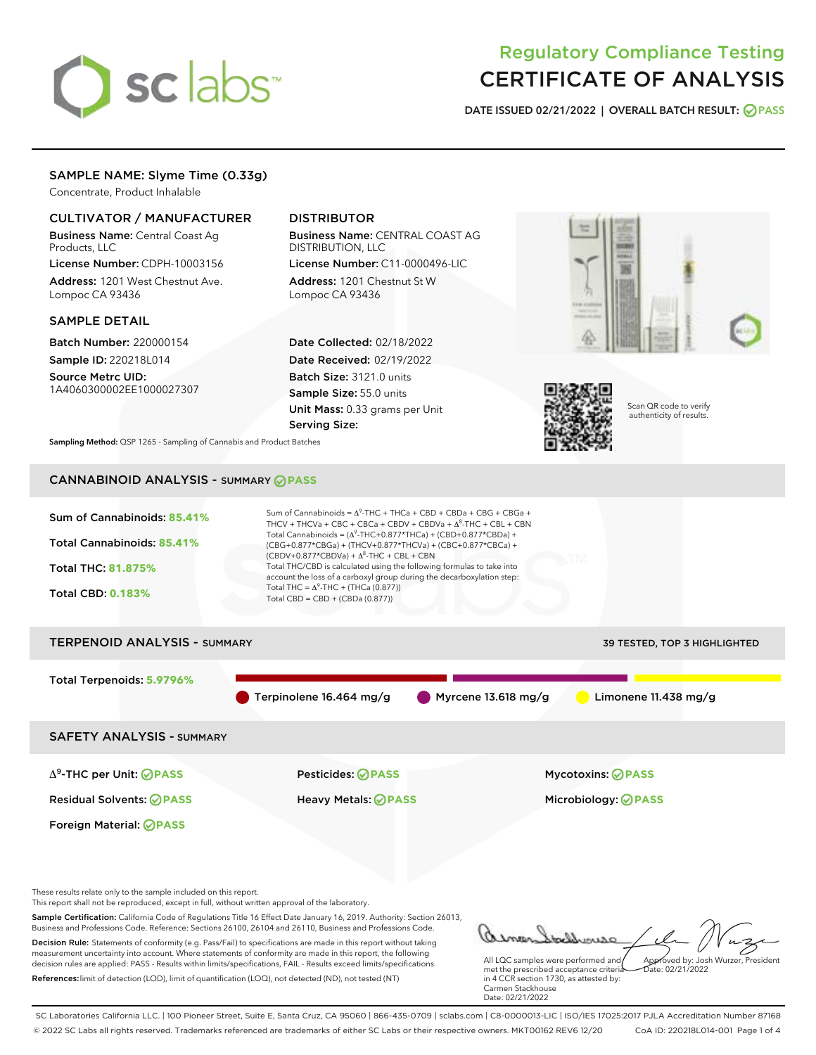# sclabs

# Regulatory Compliance Testing CERTIFICATE OF ANALYSIS

DATE ISSUED 02/21/2022 | OVERALL BATCH RESULT: @ PASS

# SAMPLE NAME: Slyme Time (0.33g)

Concentrate, Product Inhalable

# CULTIVATOR / MANUFACTURER

Business Name: Central Coast Ag Products, LLC

License Number: CDPH-10003156 Address: 1201 West Chestnut Ave. Lompoc CA 93436

#### SAMPLE DETAIL

Batch Number: 220000154 Sample ID: 220218L014

Source Metrc UID: 1A4060300002EE1000027307

# DISTRIBUTOR

Business Name: CENTRAL COAST AG DISTRIBUTION, LLC

License Number: C11-0000496-LIC Address: 1201 Chestnut St W Lompoc CA 93436

Date Collected: 02/18/2022 Date Received: 02/19/2022 Batch Size: 3121.0 units Sample Size: 55.0 units Unit Mass: 0.33 grams per Unit Serving Size:





Scan QR code to verify authenticity of results.

Sampling Method: QSP 1265 - Sampling of Cannabis and Product Batches

# CANNABINOID ANALYSIS - SUMMARY **PASS**



References:limit of detection (LOD), limit of quantification (LOQ), not detected (ND), not tested (NT)

met the prescribed acceptance criteria in 4 CCR section 1730, as attested by: Carmen Stackhouse Date: 02/21/2022

SC Laboratories California LLC. | 100 Pioneer Street, Suite E, Santa Cruz, CA 95060 | 866-435-0709 | sclabs.com | C8-0000013-LIC | ISO/IES 17025:2017 PJLA Accreditation Number 87168 © 2022 SC Labs all rights reserved. Trademarks referenced are trademarks of either SC Labs or their respective owners. MKT00162 REV6 12/20 CoA ID: 220218L014-001 Page 1 of 4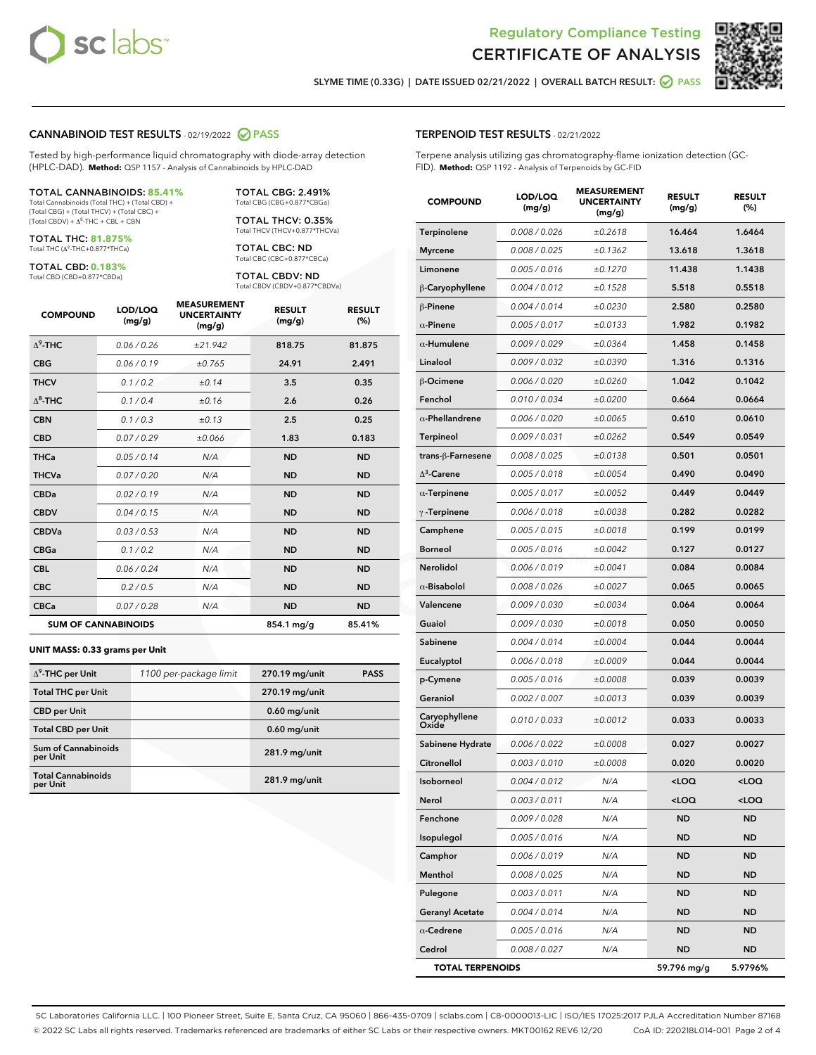



SLYME TIME (0.33G) | DATE ISSUED 02/21/2022 | OVERALL BATCH RESULT: @ PASS

#### CANNABINOID TEST RESULTS - 02/19/2022 2 PASS

Tested by high-performance liquid chromatography with diode-array detection (HPLC-DAD). **Method:** QSP 1157 - Analysis of Cannabinoids by HPLC-DAD

#### TOTAL CANNABINOIDS: **85.41%**

Total Cannabinoids (Total THC) + (Total CBD) + (Total CBG) + (Total THCV) + (Total CBC) +  $(Total CBDV) +  $\Delta^8$ -THC + CBL + CBN$ 

TOTAL THC: **81.875%** Total THC (Δ<sup>9</sup> -THC+0.877\*THCa)

TOTAL CBD: **0.183%**

Total CBD (CBD+0.877\*CBDa)

TOTAL CBG: 2.491% Total CBG (CBG+0.877\*CBGa)

TOTAL THCV: 0.35% Total THCV (THCV+0.877\*THCVa)

TOTAL CBC: ND Total CBC (CBC+0.877\*CBCa)

TOTAL CBDV: ND Total CBDV (CBDV+0.877\*CBDVa)

| <b>COMPOUND</b>  | LOD/LOQ<br>(mg/g)          | <b>MEASUREMENT</b><br><b>UNCERTAINTY</b><br>(mg/g) | <b>RESULT</b><br>(mg/g) | <b>RESULT</b><br>(%) |
|------------------|----------------------------|----------------------------------------------------|-------------------------|----------------------|
| $\Lambda^9$ -THC | 0.06 / 0.26                | ±21.942                                            | 818.75                  | 81.875               |
| <b>CBG</b>       | 0.06/0.19                  | ±0.765                                             | 24.91                   | 2.491                |
| <b>THCV</b>      | 0.1 / 0.2                  | ±0.14                                              | 3.5                     | 0.35                 |
| $\Lambda^8$ -THC | 0.1/0.4                    | ±0.16                                              | 2.6                     | 0.26                 |
| <b>CBN</b>       | 0.1/0.3                    | ±0.13                                              | 2.5                     | 0.25                 |
| <b>CBD</b>       | 0.07/0.29                  | ±0.066                                             | 1.83                    | 0.183                |
| <b>THCa</b>      | 0.05/0.14                  | N/A                                                | <b>ND</b>               | <b>ND</b>            |
| <b>THCVa</b>     | 0.07/0.20                  | N/A                                                | <b>ND</b>               | <b>ND</b>            |
| <b>CBDa</b>      | 0.02/0.19                  | N/A                                                | <b>ND</b>               | <b>ND</b>            |
| <b>CBDV</b>      | 0.04 / 0.15                | N/A                                                | <b>ND</b>               | <b>ND</b>            |
| <b>CBDVa</b>     | 0.03 / 0.53                | N/A                                                | <b>ND</b>               | <b>ND</b>            |
| <b>CBGa</b>      | 0.1/0.2                    | N/A                                                | <b>ND</b>               | <b>ND</b>            |
| <b>CBL</b>       | 0.06 / 0.24                | N/A                                                | <b>ND</b>               | <b>ND</b>            |
| <b>CBC</b>       | 0.2 / 0.5                  | N/A                                                | <b>ND</b>               | <b>ND</b>            |
| <b>CBCa</b>      | 0.07 / 0.28                | N/A                                                | <b>ND</b>               | <b>ND</b>            |
|                  | <b>SUM OF CANNABINOIDS</b> |                                                    | 854.1 mg/g              | 85.41%               |

#### **UNIT MASS: 0.33 grams per Unit**

| $\Delta^9$ -THC per Unit               | 1100 per-package limit | 270.19 mg/unit | <b>PASS</b> |
|----------------------------------------|------------------------|----------------|-------------|
| <b>Total THC per Unit</b>              |                        | 270.19 mg/unit |             |
| <b>CBD per Unit</b>                    |                        | $0.60$ mg/unit |             |
| <b>Total CBD per Unit</b>              |                        | $0.60$ mg/unit |             |
| <b>Sum of Cannabinoids</b><br>per Unit |                        | 281.9 mg/unit  |             |
| <b>Total Cannabinoids</b><br>per Unit  |                        | 281.9 mg/unit  |             |

| <b>COMPOUND</b>         | <b>LOD/LOQ</b><br>(mg/g) | <b>UNCERTAINTY</b><br>(mg/g) | <b>RESULT</b><br>(mg/g)                          | <b>RESULT</b><br>$(\%)$ |
|-------------------------|--------------------------|------------------------------|--------------------------------------------------|-------------------------|
| Terpinolene             | 0.008 / 0.026            | ±0.2618                      | 16.464                                           | 1.6464                  |
| <b>Myrcene</b>          | 0.008 / 0.025            | ±0.1362                      | 13.618                                           | 1.3618                  |
| Limonene                | 0.005 / 0.016            | ±0.1270                      | 11.438                                           | 1.1438                  |
| β-Caryophyllene         | 0.004 / 0.012            | ±0.1528                      | 5.518                                            | 0.5518                  |
| $\beta$ -Pinene         | 0.004 / 0.014            | ±0.0230                      | 2.580                                            | 0.2580                  |
| $\alpha$ -Pinene        | 0.005 / 0.017            | ±0.0133                      | 1.982                                            | 0.1982                  |
| $\alpha$ -Humulene      | 0.009/0.029              | ±0.0364                      | 1.458                                            | 0.1458                  |
| Linalool                | 0.009 / 0.032            | ±0.0390                      | 1.316                                            | 0.1316                  |
| <b>B-Ocimene</b>        | 0.006 / 0.020            | ±0.0260                      | 1.042                                            | 0.1042                  |
| Fenchol                 | 0.010 / 0.034            | ±0.0200                      | 0.664                                            | 0.0664                  |
| $\alpha$ -Phellandrene  | 0.006 / 0.020            | ±0.0065                      | 0.610                                            | 0.0610                  |
| Terpineol               | 0.009 / 0.031            | ±0.0262                      | 0.549                                            | 0.0549                  |
| trans-β-Farnesene       | 0.008 / 0.025            | ±0.0138                      | 0.501                                            | 0.0501                  |
| $\Delta^3$ -Carene      | 0.005 / 0.018            | ±0.0054                      | 0.490                                            | 0.0490                  |
| $\alpha$ -Terpinene     | 0.005 / 0.017            | ±0.0052                      | 0.449                                            | 0.0449                  |
| $\gamma$ -Terpinene     | 0.006 / 0.018            | ±0.0038                      | 0.282                                            | 0.0282                  |
| Camphene                | 0.005 / 0.015            | ±0.0018                      | 0.199                                            | 0.0199                  |
| <b>Borneol</b>          | 0.005 / 0.016            | ±0.0042                      | 0.127                                            | 0.0127                  |
| Nerolidol               | 0.006 / 0.019            | ±0.0041                      | 0.084                                            | 0.0084                  |
| $\alpha$ -Bisabolol     | 0.008 / 0.026            | ±0.0027                      | 0.065                                            | 0.0065                  |
| Valencene               | 0.009 / 0.030            | ±0.0034                      | 0.064                                            | 0.0064                  |
| Guaiol                  | 0.009 / 0.030            | ±0.0018                      | 0.050                                            | 0.0050                  |
| Sabinene                | 0.004 / 0.014            | ±0.0004                      | 0.044                                            | 0.0044                  |
| Eucalyptol              | 0.006 / 0.018            | ±0.0009                      | 0.044                                            | 0.0044                  |
| p-Cymene                | 0.005 / 0.016            | ±0.0008                      | 0.039                                            | 0.0039                  |
| Geraniol                | 0.002 / 0.007            | ±0.0013                      | 0.039                                            | 0.0039                  |
| Caryophyllene<br>Oxide  | 0.010 / 0.033            | ±0.0012                      | 0.033                                            | 0.0033                  |
| Sabinene Hydrate        | 0.006 / 0.022            | ±0.0008                      | 0.027                                            | 0.0027                  |
| Citronellol             | 0.003 / 0.010            | ±0.0008                      | 0.020                                            | 0.0020                  |
| Isoborneol              | 0.004 / 0.012            | N/A                          | <loq< th=""><th><math>&lt;</math>LOQ</th></loq<> | $<$ LOQ                 |
| Nerol                   | 0.003 / 0.011            | N/A                          | <loq< th=""><th><loq< th=""></loq<></th></loq<>  | <loq< th=""></loq<>     |
| Fenchone                | 0.009 / 0.028            | N/A                          | ND                                               | ND                      |
| Isopulegol              | 0.005 / 0.016            | N/A                          | ND                                               | ND                      |
| Camphor                 | 0.006 / 0.019            | N/A                          | ND                                               | <b>ND</b>               |
| Menthol                 | 0.008 / 0.025            | N/A                          | ND                                               | ND                      |
| Pulegone                | 0.003 / 0.011            | N/A                          | ND                                               | ND                      |
| <b>Geranyl Acetate</b>  | 0.004 / 0.014            | N/A                          | ND                                               | ND                      |
| $\alpha$ -Cedrene       | 0.005 / 0.016            | N/A                          | ND                                               | ND                      |
| Cedrol                  | 0.008 / 0.027            | N/A                          | ND                                               | ND                      |
| <b>TOTAL TERPENOIDS</b> |                          |                              | 59.796 mg/g                                      | 5.9796%                 |

SC Laboratories California LLC. | 100 Pioneer Street, Suite E, Santa Cruz, CA 95060 | 866-435-0709 | sclabs.com | C8-0000013-LIC | ISO/IES 17025:2017 PJLA Accreditation Number 87168 © 2022 SC Labs all rights reserved. Trademarks referenced are trademarks of either SC Labs or their respective owners. MKT00162 REV6 12/20 CoA ID: 220218L014-001 Page 2 of 4

# TERPENOID TEST RESULTS - 02/21/2022

Terpene analysis utilizing gas chromatography-flame ionization detection (GC-FID). **Method:** QSP 1192 - Analysis of Terpenoids by GC-FID

MEASUREMENT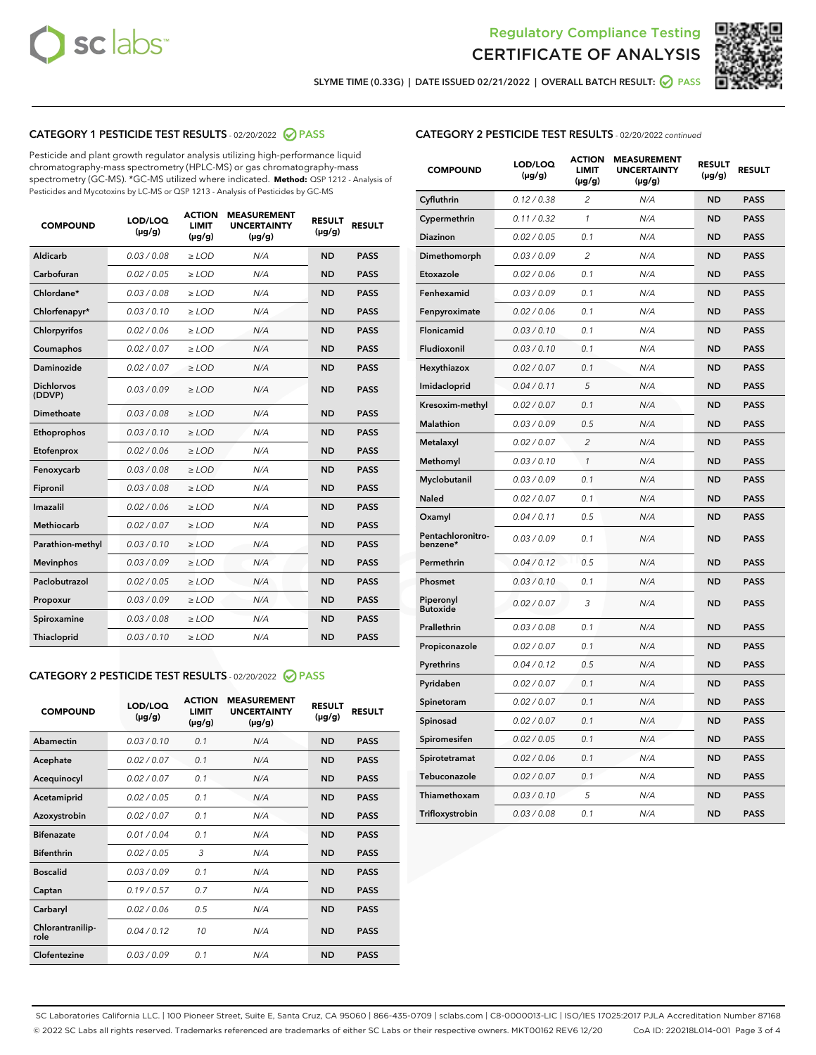



SLYME TIME (0.33G) | DATE ISSUED 02/21/2022 | OVERALL BATCH RESULT:  $\bigotimes$  PASS

# CATEGORY 1 PESTICIDE TEST RESULTS - 02/20/2022 2 PASS

Pesticide and plant growth regulator analysis utilizing high-performance liquid chromatography-mass spectrometry (HPLC-MS) or gas chromatography-mass spectrometry (GC-MS). \*GC-MS utilized where indicated. **Method:** QSP 1212 - Analysis of Pesticides and Mycotoxins by LC-MS or QSP 1213 - Analysis of Pesticides by GC-MS

| <b>COMPOUND</b>             | LOD/LOQ<br>$(\mu g/g)$ | <b>ACTION</b><br>LIMIT<br>$(\mu g/g)$ | <b>MEASUREMENT</b><br><b>UNCERTAINTY</b><br>$(\mu g/g)$ | <b>RESULT</b><br>$(\mu g/g)$ | <b>RESULT</b> |
|-----------------------------|------------------------|---------------------------------------|---------------------------------------------------------|------------------------------|---------------|
| <b>Aldicarb</b>             | 0.03 / 0.08            | $\geq$ LOD                            | N/A                                                     | <b>ND</b>                    | <b>PASS</b>   |
| Carbofuran                  | 0.02 / 0.05            | $\ge$ LOD                             | N/A                                                     | <b>ND</b>                    | <b>PASS</b>   |
| Chlordane*                  | 0.03/0.08              | $>$ LOD                               | N/A                                                     | <b>ND</b>                    | <b>PASS</b>   |
| Chlorfenapyr*               | 0.03/0.10              | $>$ LOD                               | N/A                                                     | <b>ND</b>                    | <b>PASS</b>   |
| Chlorpyrifos                | 0.02 / 0.06            | $>$ LOD                               | N/A                                                     | <b>ND</b>                    | <b>PASS</b>   |
| Coumaphos                   | 0.02 / 0.07            | $\geq$ LOD                            | N/A                                                     | <b>ND</b>                    | <b>PASS</b>   |
| <b>Daminozide</b>           | 0.02 / 0.07            | $\ge$ LOD                             | N/A                                                     | <b>ND</b>                    | <b>PASS</b>   |
| <b>Dichlorvos</b><br>(DDVP) | 0.03/0.09              | $\geq$ LOD                            | N/A                                                     | <b>ND</b>                    | <b>PASS</b>   |
| Dimethoate                  | 0.03 / 0.08            | $>$ LOD                               | N/A                                                     | <b>ND</b>                    | <b>PASS</b>   |
| Ethoprophos                 | 0.03/0.10              | $\geq$ LOD                            | N/A                                                     | <b>ND</b>                    | <b>PASS</b>   |
| Etofenprox                  | 0.02 / 0.06            | > LOD                                 | N/A                                                     | <b>ND</b>                    | <b>PASS</b>   |
| Fenoxycarb                  | 0.03 / 0.08            | $\geq$ LOD                            | N/A                                                     | <b>ND</b>                    | <b>PASS</b>   |
| Fipronil                    | 0.03 / 0.08            | $\ge$ LOD                             | N/A                                                     | <b>ND</b>                    | <b>PASS</b>   |
| Imazalil                    | 0.02 / 0.06            | $\ge$ LOD                             | N/A                                                     | <b>ND</b>                    | <b>PASS</b>   |
| <b>Methiocarb</b>           | 0.02 / 0.07            | $\ge$ LOD                             | N/A                                                     | <b>ND</b>                    | <b>PASS</b>   |
| Parathion-methyl            | 0.03/0.10              | > LOD                                 | N/A                                                     | <b>ND</b>                    | <b>PASS</b>   |
| <b>Mevinphos</b>            | 0.03/0.09              | $\ge$ LOD                             | N/A                                                     | <b>ND</b>                    | <b>PASS</b>   |
| Paclobutrazol               | 0.02 / 0.05            | $\ge$ LOD                             | N/A                                                     | <b>ND</b>                    | <b>PASS</b>   |
| Propoxur                    | 0.03 / 0.09            | $\geq$ LOD                            | N/A                                                     | <b>ND</b>                    | <b>PASS</b>   |
| Spiroxamine                 | 0.03 / 0.08            | $\ge$ LOD                             | N/A                                                     | <b>ND</b>                    | <b>PASS</b>   |
| Thiacloprid                 | 0.03/0.10              | $>$ LOD                               | N/A                                                     | <b>ND</b>                    | <b>PASS</b>   |

# CATEGORY 2 PESTICIDE TEST RESULTS - 02/20/2022 @ PASS

| <b>COMPOUND</b>          | LOD/LOO<br>$(\mu g/g)$ | <b>ACTION</b><br><b>LIMIT</b><br>(µg/g) | <b>MEASUREMENT</b><br><b>UNCERTAINTY</b><br>$(\mu g/g)$ | <b>RESULT</b><br>$(\mu g/g)$ | <b>RESULT</b> |  |
|--------------------------|------------------------|-----------------------------------------|---------------------------------------------------------|------------------------------|---------------|--|
| Abamectin                | 0.03/0.10              | 0.1                                     | N/A                                                     | <b>ND</b>                    | <b>PASS</b>   |  |
| Acephate                 | 0.02/0.07              | 0.1                                     | N/A                                                     | <b>ND</b>                    | <b>PASS</b>   |  |
| Acequinocyl              | 0.02/0.07              | 0.1                                     | N/A                                                     | <b>ND</b>                    | <b>PASS</b>   |  |
| Acetamiprid              | 0.02/0.05              | 0.1                                     | N/A                                                     | <b>ND</b>                    | <b>PASS</b>   |  |
| Azoxystrobin             | 0.02/0.07              | 0.1                                     | N/A                                                     | <b>ND</b>                    | <b>PASS</b>   |  |
| <b>Bifenazate</b>        | 0.01/0.04              | 0.1                                     | N/A                                                     | <b>ND</b>                    | <b>PASS</b>   |  |
| <b>Bifenthrin</b>        | 0.02/0.05              | 3                                       | N/A                                                     | <b>ND</b>                    | <b>PASS</b>   |  |
| <b>Boscalid</b>          | 0.03/0.09              | 0.1                                     | N/A                                                     | <b>ND</b>                    | <b>PASS</b>   |  |
| Captan                   | 0.19/0.57              | 0.7                                     | N/A                                                     | <b>ND</b>                    | <b>PASS</b>   |  |
| Carbaryl                 | 0.02/0.06              | 0.5                                     | N/A                                                     | <b>ND</b>                    | <b>PASS</b>   |  |
| Chlorantranilip-<br>role | 0.04/0.12              | 10                                      | N/A                                                     | <b>ND</b>                    | <b>PASS</b>   |  |
| Clofentezine             | 0.03/0.09              | 0.1                                     | N/A                                                     | <b>ND</b>                    | <b>PASS</b>   |  |

# CATEGORY 2 PESTICIDE TEST RESULTS - 02/20/2022 continued

| <b>COMPOUND</b>               | LOD/LOQ<br>(µg/g) | <b>ACTION</b><br><b>LIMIT</b><br>(µg/g) | <b>MEASUREMENT</b><br><b>UNCERTAINTY</b><br>$(\mu g/g)$ | <b>RESULT</b><br>(µg/g) | <b>RESULT</b> |
|-------------------------------|-------------------|-----------------------------------------|---------------------------------------------------------|-------------------------|---------------|
| Cyfluthrin                    | 0.12 / 0.38       | $\overline{c}$                          | N/A                                                     | <b>ND</b>               | <b>PASS</b>   |
| Cypermethrin                  | 0.11 / 0.32       | $\mathcal{I}$                           | N/A                                                     | <b>ND</b>               | PASS          |
| <b>Diazinon</b>               | 0.02 / 0.05       | 0.1                                     | N/A                                                     | <b>ND</b>               | <b>PASS</b>   |
| Dimethomorph                  | 0.03 / 0.09       | 2                                       | N/A                                                     | <b>ND</b>               | <b>PASS</b>   |
| Etoxazole                     | 0.02 / 0.06       | 0.1                                     | N/A                                                     | <b>ND</b>               | <b>PASS</b>   |
| Fenhexamid                    | 0.03 / 0.09       | 0.1                                     | N/A                                                     | <b>ND</b>               | <b>PASS</b>   |
| Fenpyroximate                 | 0.02 / 0.06       | 0.1                                     | N/A                                                     | <b>ND</b>               | <b>PASS</b>   |
| Flonicamid                    | 0.03 / 0.10       | 0.1                                     | N/A                                                     | <b>ND</b>               | <b>PASS</b>   |
| Fludioxonil                   | 0.03 / 0.10       | 0.1                                     | N/A                                                     | ND                      | <b>PASS</b>   |
| Hexythiazox                   | 0.02 / 0.07       | 0.1                                     | N/A                                                     | <b>ND</b>               | <b>PASS</b>   |
| Imidacloprid                  | 0.04 / 0.11       | 5                                       | N/A                                                     | <b>ND</b>               | <b>PASS</b>   |
| Kresoxim-methyl               | 0.02 / 0.07       | 0.1                                     | N/A                                                     | ND                      | <b>PASS</b>   |
| <b>Malathion</b>              | 0.03 / 0.09       | 0.5                                     | N/A                                                     | <b>ND</b>               | <b>PASS</b>   |
| Metalaxyl                     | 0.02 / 0.07       | $\overline{c}$                          | N/A                                                     | <b>ND</b>               | <b>PASS</b>   |
| Methomyl                      | 0.03/0.10         | 1                                       | N/A                                                     | <b>ND</b>               | <b>PASS</b>   |
| Myclobutanil                  | 0.03/0.09         | 0.1                                     | N/A                                                     | <b>ND</b>               | <b>PASS</b>   |
| Naled                         | 0.02 / 0.07       | 0.1                                     | N/A                                                     | <b>ND</b>               | <b>PASS</b>   |
| Oxamyl                        | 0.04 / 0.11       | 0.5                                     | N/A                                                     | ND                      | <b>PASS</b>   |
| Pentachloronitro-<br>benzene* | 0.03 / 0.09       | 0.1                                     | N/A                                                     | <b>ND</b>               | <b>PASS</b>   |
| Permethrin                    | 0.04 / 0.12       | 0.5                                     | N/A                                                     | <b>ND</b>               | <b>PASS</b>   |
| Phosmet                       | 0.03 / 0.10       | 0.1                                     | N/A                                                     | <b>ND</b>               | <b>PASS</b>   |
| Piperonyl<br><b>Butoxide</b>  | 0.02 / 0.07       | 3                                       | N/A                                                     | <b>ND</b>               | <b>PASS</b>   |
| Prallethrin                   | 0.03 / 0.08       | 0.1                                     | N/A                                                     | <b>ND</b>               | <b>PASS</b>   |
| Propiconazole                 | 0.02 / 0.07       | 0.1                                     | N/A                                                     | <b>ND</b>               | <b>PASS</b>   |
| Pyrethrins                    | 0.04 / 0.12       | 0.5                                     | N/A                                                     | <b>ND</b>               | <b>PASS</b>   |
| Pyridaben                     | 0.02 / 0.07       | 0.1                                     | N/A                                                     | <b>ND</b>               | <b>PASS</b>   |
| Spinetoram                    | 0.02 / 0.07       | 0.1                                     | N/A                                                     | <b>ND</b>               | <b>PASS</b>   |
| Spinosad                      | 0.02 / 0.07       | 0.1                                     | N/A                                                     | ND                      | <b>PASS</b>   |
| Spiromesifen                  | 0.02 / 0.05       | 0.1                                     | N/A                                                     | <b>ND</b>               | <b>PASS</b>   |
| Spirotetramat                 | 0.02 / 0.06       | 0.1                                     | N/A                                                     | <b>ND</b>               | <b>PASS</b>   |
| Tebuconazole                  | 0.02 / 0.07       | 0.1                                     | N/A                                                     | <b>ND</b>               | <b>PASS</b>   |
| Thiamethoxam                  | 0.03/0.10         | 5                                       | N/A                                                     | ND                      | <b>PASS</b>   |
| Trifloxystrobin               | 0.03/0.08         | 0.1                                     | N/A                                                     | <b>ND</b>               | <b>PASS</b>   |

SC Laboratories California LLC. | 100 Pioneer Street, Suite E, Santa Cruz, CA 95060 | 866-435-0709 | sclabs.com | C8-0000013-LIC | ISO/IES 17025:2017 PJLA Accreditation Number 87168 © 2022 SC Labs all rights reserved. Trademarks referenced are trademarks of either SC Labs or their respective owners. MKT00162 REV6 12/20 CoA ID: 220218L014-001 Page 3 of 4